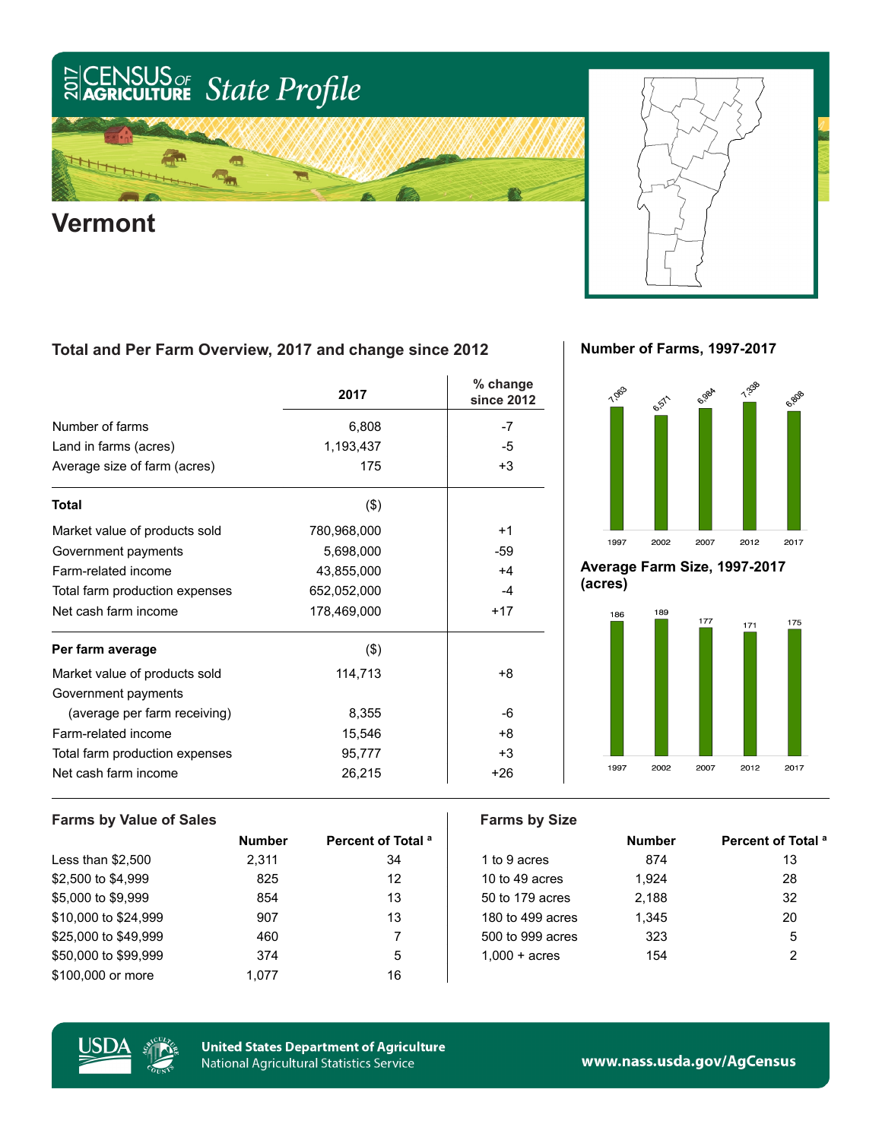



### **Total and Per Farm Overview, 2017 and change since 2012**

|                                | 2017        | % change<br>since 2012 |
|--------------------------------|-------------|------------------------|
| Number of farms                | 6,808       | -7                     |
| Land in farms (acres)          | 1,193,437   | -5                     |
| Average size of farm (acres)   | 175         | $+3$                   |
| Total                          | $($ \$)     |                        |
| Market value of products sold  | 780,968,000 | $+1$                   |
| Government payments            | 5,698,000   | -59                    |
| Farm-related income            | 43,855,000  | $+4$                   |
| Total farm production expenses | 652,052,000 | $-4$                   |
| Net cash farm income           | 178,469,000 | $+17$                  |
| Per farm average               | (3)         |                        |
| Market value of products sold  | 114,713     | $+8$                   |
| Government payments            |             |                        |
| (average per farm receiving)   | 8,355       | -6                     |
| Farm-related income            | 15,546      | $+8$                   |
| Total farm production expenses | 95,777      | $+3$                   |
| Net cash farm income           | 26,215      | $+26$                  |

**Number of Farms, 1997-2017**



**Average Farm Size, 1997-2017 (acres)**



## **Farms by Value of Sales Farms by Size**

|                      | <b>Number</b> | Percent of Total <sup>a</sup> |                        | <b>Number</b> | Percent of Total <sup>a</sup> |
|----------------------|---------------|-------------------------------|------------------------|---------------|-------------------------------|
| Less than $$2,500$   | 2.311         | 34                            | 1 to 9 acres           | 874           | 13                            |
| \$2,500 to \$4,999   | 825           | 12                            | 10 to 49 acres         | 1.924         | 28                            |
| \$5,000 to \$9,999   | 854           | 13                            | 50 to 179 acres        | 2,188         | 32                            |
| \$10,000 to \$24,999 | 907           | 13                            | 180 to 499 acres       | 1.345         | 20                            |
| \$25,000 to \$49,999 | 460           |                               | 500 to 999 acres       | 323           | 5                             |
| \$50,000 to \$99,999 | 374           | 5                             | $1,000 + \text{acres}$ | 154           | 2                             |
| \$100,000 or more    | 1.077         | 16                            |                        |               |                               |
|                      |               |                               |                        |               |                               |



**United States Department of Agriculture** National Agricultural Statistics Service